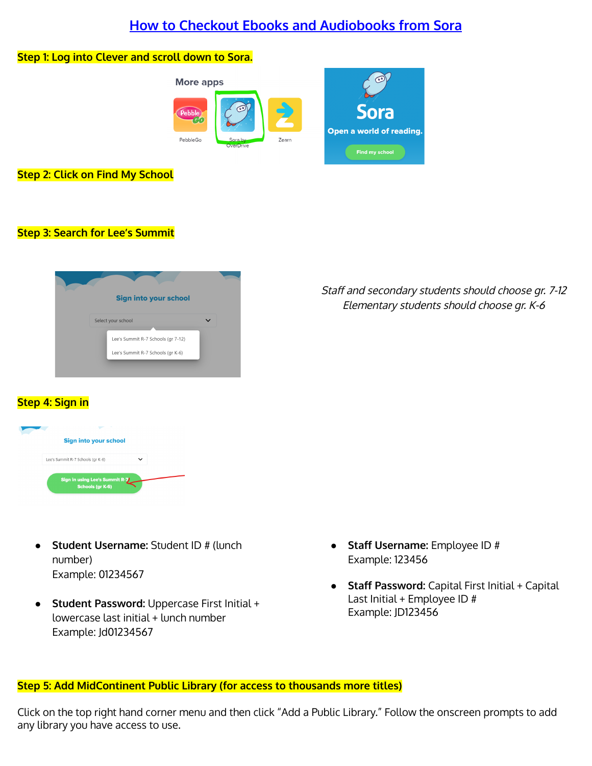# **How to Checkout Ebooks and Audiobooks from Sora**

### **Step 1: Log into Clever and scroll down to Sora.**



### **Step 2: Click on Find My School**

### **Step 3: Search for Lee's Summit**

| <b>Sign into your school</b>       |  |
|------------------------------------|--|
| Select your school                 |  |
| Lee's Summit R-7 Schools (gr 7-12) |  |
| Lee's Summit R-7 Schools (gr K-6)  |  |

# Staff and secondary students should choose gr. 7-12 Elementary students should choose gr. K-6

## **Step 4: Sign in**

| Sign into your school                              |  |
|----------------------------------------------------|--|
| Lee's Summit R-7 Schools (gr K-6)                  |  |
| Sign in using Lee's Summit R-7<br>Schools (gr K-6) |  |

- **Student Username:** Student ID # (lunch number) Example: 01234567
- **Student Password:** Uppercase First Initial + lowercase last initial + lunch number Example: Jd01234567
- **Staff Username:** Employee ID # Example: 123456
- **Staff Password:** Capital First Initial + Capital Last Initial + Employee ID # Example: JD123456

### **Step 5: Add MidContinent Public Library (for access to thousands more titles)**

Click on the top right hand corner menu and then click "Add a Public Library." Follow the onscreen prompts to add any library you have access to use.